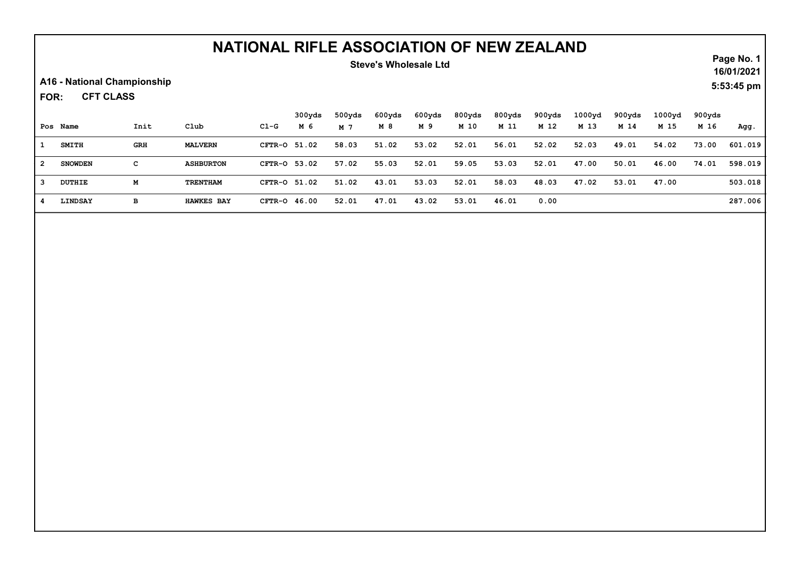### Steve's Wholesale Ltd

A16 - National Championship

CFT CLASS FOR:

|                | Pos Name       | Init       | Club              | C1-G         | 300yds<br>M 6 | 500yds<br>M 7 | 600yds<br>M 8 | 600yds<br>M 9 | 800yds<br>M 10 | 800yds<br>M 11 | 900yds<br>M 12 | 1000yd<br>M 13 | 900yds<br>M 14 | 1000 <sub>yd</sub><br>M 15 | 900yds<br>M 16 | Agg.    |
|----------------|----------------|------------|-------------------|--------------|---------------|---------------|---------------|---------------|----------------|----------------|----------------|----------------|----------------|----------------------------|----------------|---------|
|                | <b>SMITH</b>   | <b>GRH</b> | <b>MALVERN</b>    | CFTR-0 51.02 |               | 58.03         | 51.02         | 53.02         | 52.01          | 56.01          | 52.02          | 52.03          | 49.01          | 54.02                      | 73.00          | 601.019 |
| $\overline{2}$ | <b>SNOWDEN</b> | c          | <b>ASHBURTON</b>  | CFTR-0 53.02 |               | 57.02         | 55.03         | 52.01         | 59.05          | 53.03          | 52.01          | 47.00          | 50.01          | 46.00                      | 74.01          | 598.019 |
|                | DUTHIE         | м          | TRENTHAM          | CFTR-0 51.02 |               | 51.02         | 43.01         | 53.03         | 52.01          | 58.03          | 48.03          | 47.02          | 53.01          | 47.00                      |                | 503.018 |
|                | <b>LINDSAY</b> | в          | <b>HAWKES BAY</b> | CFTR-0 46.00 |               | 52.01         | 47.01         | 43.02         | 53.01          | 46.01          | 0.00           |                |                |                            |                | 287.006 |

Page No. 1 16/01/2021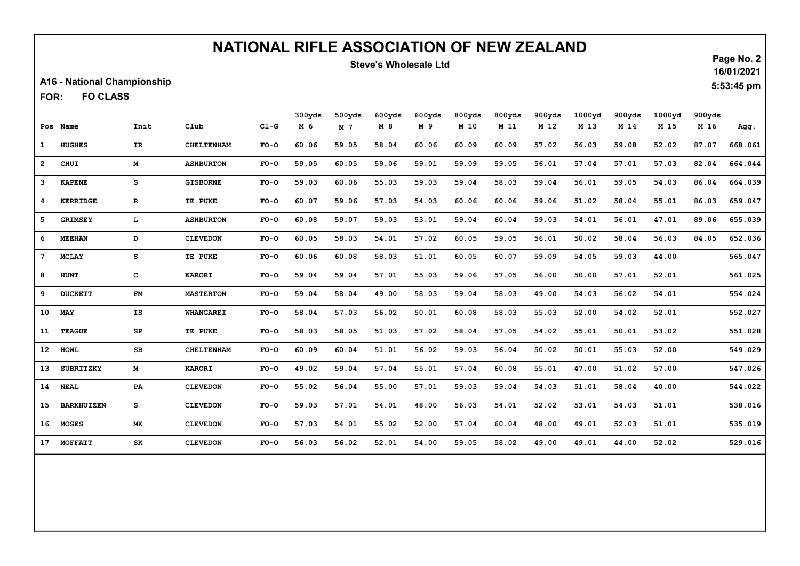### Steve's Wholesale Ltd

A16 - National Championship

FO CLASS FOR:

|                 |                   |              |                   |        | 300yds | 500yds | 600yds | 600yds | 800yds | 800yds | 900yds | 1000yd | 900yds | 1000yd | 900yds |         |
|-----------------|-------------------|--------------|-------------------|--------|--------|--------|--------|--------|--------|--------|--------|--------|--------|--------|--------|---------|
|                 | Pos Name          | Init         | Club              | $CL-G$ | M 6    | M 7    | M 8    | M 9    | M 10   | M 11   | M 12   | M 13   | M 14   | M 15   | M 16   | Agg.    |
| $\mathbf{1}$    | <b>HUGHES</b>     | IR.          | <b>CHELTENHAM</b> | $FO-O$ | 60.06  | 59.05  | 58.04  | 60.06  | 60.09  | 60.09  | 57.02  | 56.03  | 59.08  | 52.02  | 87.07  | 668.061 |
| $2^{\circ}$     | CHUI              | М            | <b>ASHBURTON</b>  | $FO-O$ | 59.05  | 60.05  | 59.06  | 59.01  | 59.09  | 59.05  | 56.01  | 57.04  | 57.01  | 57.03  | 82.04  | 664.044 |
| $\mathbf{3}$    | <b>KAPENE</b>     | s            | <b>GISBORNE</b>   | $FO-O$ | 59.03  | 60.06  | 55.03  | 59.03  | 59.04  | 58.03  | 59.04  | 56.01  | 59.05  | 54.03  | 86.04  | 664.039 |
| 4               | <b>KERRIDGE</b>   | $\mathbf R$  | TE PUKE           | $FO-O$ | 60.07  | 59.06  | 57.03  | 54.03  | 60.06  | 60.06  | 59.06  | 51.02  | 58.04  | 55.01  | 86.03  | 659.047 |
| 5               | <b>GRIMSEY</b>    | L            | <b>ASHBURTON</b>  | $FO-O$ | 60.08  | 59.07  | 59.03  | 53.01  | 59.04  | 60.04  | 59.03  | 54.01  | 56.01  | 47.01  | 89.06  | 655.039 |
| 6               | <b>MEEHAN</b>     | D            | <b>CLEVEDON</b>   | $FO-O$ | 60.05  | 58.03  | 54.01  | 57.02  | 60.05  | 59.05  | 56.01  | 50.02  | 58.04  | 56.03  | 84.05  | 652.036 |
| $7^{\circ}$     | <b>MCLAY</b>      | s            | TE PUKE           | $FO-O$ | 60.06  | 60.08  | 58.03  | 51.01  | 60.05  | 60.07  | 59.09  | 54.05  | 59.03  | 44.00  |        | 565.047 |
| 8               | <b>HUNT</b>       | $\mathbf{C}$ | <b>KARORI</b>     | $FO-O$ | 59.04  | 59.04  | 57.01  | 55.03  | 59.06  | 57.05  | 56.00  | 50.00  | 57.01  | 52.01  |        | 561.025 |
| 9               | <b>DUCKETT</b>    | FM           | <b>MASTERTON</b>  | $FO-O$ | 59.04  | 58.04  | 49.00  | 58.03  | 59.04  | 58.03  | 49.00  | 54.03  | 56.02  | 54.01  |        | 554.024 |
| 10 <sup>1</sup> | <b>MAY</b>        | IS           | <b>WHANGAREI</b>  | $FO-O$ | 58.04  | 57.03  | 56.02  | 50.01  | 60.08  | 58.03  | 55.03  | 52.00  | 54.02  | 52.01  |        | 552.027 |
| 11              | <b>TEAGUE</b>     | SP           | TE PUKE           | $FO-O$ | 58.03  | 58.05  | 51.03  | 57.02  | 58.04  | 57.05  | 54.02  | 55.01  | 50.01  | 53.02  |        | 551.028 |
| 12 <sub>2</sub> | <b>HOWL</b>       | $_{\rm SB}$  | <b>CHELTENHAM</b> | $FO-O$ | 60.09  | 60.04  | 51.01  | 56.02  | 59.03  | 56.04  | 50.02  | 50.01  | 55.03  | 52.00  |        | 549.029 |
| 13 <sub>1</sub> | <b>SUBRITZKY</b>  | M            | <b>KARORI</b>     | $FO-O$ | 49.02  | 59.04  | 57.04  | 55.01  | 57.04  | 60.08  | 55.01  | 47.00  | 51.02  | 57.00  |        | 547.026 |
| 14              | <b>NEAL</b>       | PA           | <b>CLEVEDON</b>   | $FO-O$ | 55.02  | 56.04  | 55.00  | 57.01  | 59.03  | 59.04  | 54.03  | 51.01  | 58.04  | 40.00  |        | 544.022 |
| 15              | <b>BARKHUIZEN</b> | s            | <b>CLEVEDON</b>   | $FO-O$ | 59.03  | 57.01  | 54.01  | 48.00  | 56.03  | 54.01  | 52.02  | 53.01  | 54.03  | 51.01  |        | 538.016 |
| 16              | <b>MOSES</b>      | <b>MK</b>    | <b>CLEVEDON</b>   | $FO-O$ | 57.03  | 54.01  | 55.02  | 52.00  | 57.04  | 60.04  | 48.00  | 49.01  | 52.03  | 51.01  |        | 535.019 |
| 17              | <b>MOFFATT</b>    | SK           | <b>CLEVEDON</b>   | $FO-O$ | 56.03  | 56.02  | 52.01  | 54.00  | 59.05  | 58.02  | 49.00  | 49.01  | 44.00  | 52.02  |        | 529.016 |

Page No. 2 16/01/2021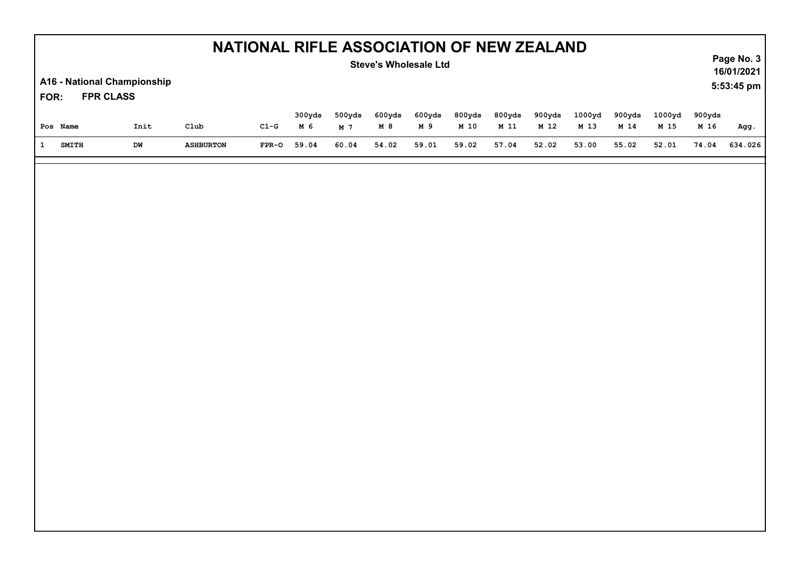| NATIONAL RIFLE ASSOCIATION OF NEW ZEALAND<br><b>Steve's Wholesale Ltd</b> |                                                 |      |                    |         |                          |                          |              |               |                |                  |                |                           |                  |                           | Page No. 3<br>16/01/2021 |            |  |  |
|---------------------------------------------------------------------------|-------------------------------------------------|------|--------------------|---------|--------------------------|--------------------------|--------------|---------------|----------------|------------------|----------------|---------------------------|------------------|---------------------------|--------------------------|------------|--|--|
| FOR:                                                                      | A16 - National Championship<br><b>FPR CLASS</b> |      |                    |         |                          |                          |              |               |                |                  |                |                           |                  |                           |                          | 5:53:45 pm |  |  |
|                                                                           | Pos Name                                        | Init | $_{\texttt{Club}}$ | $CL-G$  | 300yds<br>M <sub>6</sub> | 500yds<br>M <sub>7</sub> | 600yds<br>M8 | 600yds<br>M 9 | 800yds<br>M 10 | 800yds<br>$M$ 11 | 900yds<br>M 12 | 1000yd<br>M <sub>13</sub> | 900yds<br>$M$ 14 | 1000yd<br>M <sub>15</sub> | 900yds<br>M 16           | Agg.       |  |  |
| $\mathbf{1}$                                                              | <b>SMITH</b>                                    | DW   | <b>ASHBURTON</b>   | $FPR-O$ | 59.04                    | 60.04                    | 54.02        | 59.01         | 59.02          | 57.04            | 52.02          | 53.00                     | 55.02            | 52.01                     | 74.04                    | 634.026    |  |  |
|                                                                           |                                                 |      |                    |         |                          |                          |              |               |                |                  |                |                           |                  |                           |                          |            |  |  |
|                                                                           |                                                 |      |                    |         |                          |                          |              |               |                |                  |                |                           |                  |                           |                          |            |  |  |
|                                                                           |                                                 |      |                    |         |                          |                          |              |               |                |                  |                |                           |                  |                           |                          |            |  |  |
|                                                                           |                                                 |      |                    |         |                          |                          |              |               |                |                  |                |                           |                  |                           |                          |            |  |  |
|                                                                           |                                                 |      |                    |         |                          |                          |              |               |                |                  |                |                           |                  |                           |                          |            |  |  |
|                                                                           |                                                 |      |                    |         |                          |                          |              |               |                |                  |                |                           |                  |                           |                          |            |  |  |
|                                                                           |                                                 |      |                    |         |                          |                          |              |               |                |                  |                |                           |                  |                           |                          |            |  |  |
|                                                                           |                                                 |      |                    |         |                          |                          |              |               |                |                  |                |                           |                  |                           |                          |            |  |  |
|                                                                           |                                                 |      |                    |         |                          |                          |              |               |                |                  |                |                           |                  |                           |                          |            |  |  |
|                                                                           |                                                 |      |                    |         |                          |                          |              |               |                |                  |                |                           |                  |                           |                          |            |  |  |
|                                                                           |                                                 |      |                    |         |                          |                          |              |               |                |                  |                |                           |                  |                           |                          |            |  |  |
|                                                                           |                                                 |      |                    |         |                          |                          |              |               |                |                  |                |                           |                  |                           |                          |            |  |  |
|                                                                           |                                                 |      |                    |         |                          |                          |              |               |                |                  |                |                           |                  |                           |                          |            |  |  |
|                                                                           |                                                 |      |                    |         |                          |                          |              |               |                |                  |                |                           |                  |                           |                          |            |  |  |
|                                                                           |                                                 |      |                    |         |                          |                          |              |               |                |                  |                |                           |                  |                           |                          |            |  |  |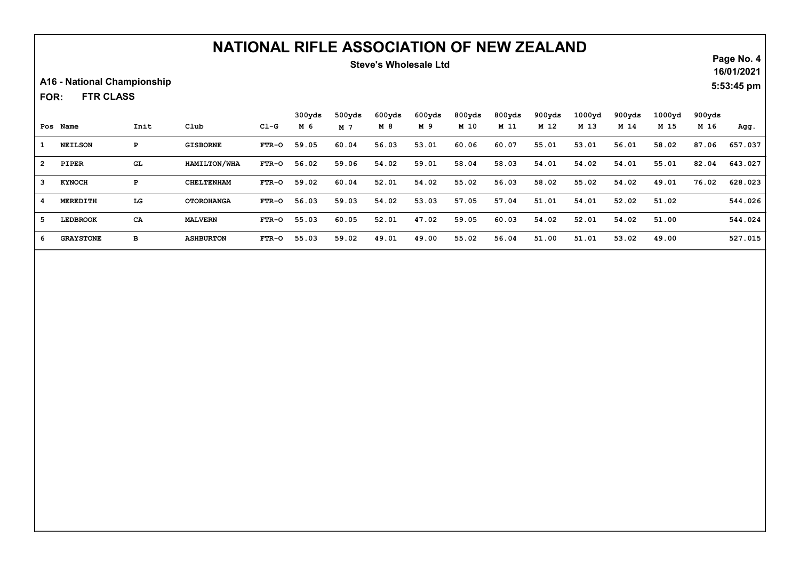### Steve's Wholesale Ltd

A16 - National Championship

FTR CLASS FOR:

|    |                  |      |                   |              | 300yds | 500yds | 600yds | 600yds | 800yds | 800yds | 900yds | 1000 <sub>yd</sub> | 900yds | 1000yd | 900yds |         |
|----|------------------|------|-------------------|--------------|--------|--------|--------|--------|--------|--------|--------|--------------------|--------|--------|--------|---------|
|    | Pos Name         | Init | Club              | Cl-G         | M 6    | M 7    | M 8    | M 9    | M 10   | M 11   | M 12   | M 13               | M 14   | M 15   | M 16   | Agg.    |
| 1. | <b>NEILSON</b>   | Р    | <b>GISBORNE</b>   | <b>FTR-0</b> | 59.05  | 60.04  | 56.03  | 53.01  | 60.06  | 60.07  | 55.01  | 53.01              | 56.01  | 58.02  | 87.06  | 657.037 |
| 2  | PIPER            | GL.  | HAMILTON/WHA      | <b>FTR-0</b> | 56.02  | 59.06  | 54.02  | 59.01  | 58.04  | 58.03  | 54.01  | 54.02              | 54.01  | 55.01  | 82.04  | 643.027 |
| 3  | <b>KYNOCH</b>    | Р    | <b>CHELTENHAM</b> | FTR-0        | 59.02  | 60.04  | 52.01  | 54.02  | 55.02  | 56.03  | 58.02  | 55.02              | 54.02  | 49.01  | 76.02  | 628.023 |
|    | MEREDITH         | LG   | <b>OTOROHANGA</b> | FTR-0        | 56.03  | 59.03  | 54.02  | 53.03  | 57.05  | 57.04  | 51.01  | 54.01              | 52.02  | 51.02  |        | 544.026 |
|    | <b>LEDBROOK</b>  | CA   | <b>MALVERN</b>    | FTR-0        | 55.03  | 60.05  | 52.01  | 47.02  | 59.05  | 60.03  | 54.02  | 52.01              | 54.02  | 51.00  |        | 544.024 |
| -6 | <b>GRAYSTONE</b> | в    | <b>ASHBURTON</b>  | FTR-0        | 55.03  | 59.02  | 49.01  | 49.00  | 55.02  | 56.04  | 51.00  | 51.01              | 53.02  | 49.00  |        | 527.015 |

Page No. 4

16/01/2021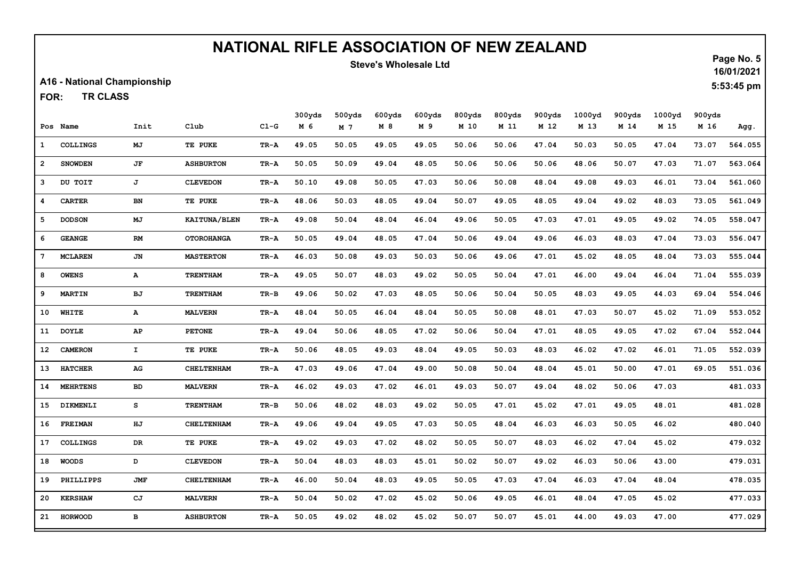### Steve's Wholesale Ltd

A16 - National Championship

TR CLASS FOR:

|                 |                 |              |                     |          | 300yds | 500yds         | 600yds | 600yds | 800yds | 800yds | 900yds | 1000yd | 900yds | 1000yd | 900yds |         |
|-----------------|-----------------|--------------|---------------------|----------|--------|----------------|--------|--------|--------|--------|--------|--------|--------|--------|--------|---------|
|                 | Pos Name        | Init         | Club                | $CL-G$   | M 6    | M <sub>7</sub> | M 8    | M 9    | M 10   | M 11   | M 12   | M 13   | M 14   | M 15   | M 16   | Agg.    |
| $\mathbf{1}$    | <b>COLLINGS</b> | МJ           | TE PUKE             | TR-A     | 49.05  | 50.05          | 49.05  | 49.05  | 50.06  | 50.06  | 47.04  | 50.03  | 50.05  | 47.04  | 73.07  | 564.055 |
| $\overline{2}$  | <b>SNOWDEN</b>  | JF           | <b>ASHBURTON</b>    | TR-A     | 50.05  | 50.09          | 49.04  | 48.05  | 50.06  | 50.06  | 50.06  | 48.06  | 50.07  | 47.03  | 71.07  | 563.064 |
| 3               | DU TOIT         | J            | <b>CLEVEDON</b>     | TR-A     | 50.10  | 49.08          | 50.05  | 47.03  | 50.06  | 50.08  | 48.04  | 49.08  | 49.03  | 46.01  | 73.04  | 561.060 |
| 4               | <b>CARTER</b>   | BN           | TE PUKE             | TR-A     | 48.06  | 50.03          | 48.05  | 49.04  | 50.07  | 49.05  | 48.05  | 49.04  | 49.02  | 48.03  | 73.05  | 561.049 |
| 5               | <b>DODSON</b>   | MJ           | <b>KAITUNA/BLEN</b> | TR-A     | 49.08  | 50.04          | 48.04  | 46.04  | 49.06  | 50.05  | 47.03  | 47.01  | 49.05  | 49.02  | 74.05  | 558.047 |
| 6               | <b>GEANGE</b>   | RM           | <b>OTOROHANGA</b>   | TR-A     | 50.05  | 49.04          | 48.05  | 47.04  | 50.06  | 49.04  | 49.06  | 46.03  | 48.03  | 47.04  | 73.03  | 556.047 |
| $7\phantom{.0}$ | <b>MCLAREN</b>  | JN           | <b>MASTERTON</b>    | TR-A     | 46.03  | 50.08          | 49.03  | 50.03  | 50.06  | 49.06  | 47.01  | 45.02  | 48.05  | 48.04  | 73.03  | 555.044 |
| 8               | <b>OWENS</b>    | ${\bf A}$    | <b>TRENTHAM</b>     | TR-A     | 49.05  | 50.07          | 48.03  | 49.02  | 50.05  | 50.04  | 47.01  | 46.00  | 49.04  | 46.04  | 71.04  | 555.039 |
| 9               | <b>MARTIN</b>   | BJ           | <b>TRENTHAM</b>     | $TR-B$   | 49.06  | 50.02          | 47.03  | 48.05  | 50.06  | 50.04  | 50.05  | 48.03  | 49.05  | 44.03  | 69.04  | 554.046 |
| 10              | <b>WHITE</b>    | $\mathbf{A}$ | <b>MALVERN</b>      | TR-A     | 48.04  | 50.05          | 46.04  | 48.04  | 50.05  | 50.08  | 48.01  | 47.03  | 50.07  | 45.02  | 71.09  | 553.052 |
| 11              | <b>DOYLE</b>    | AP           | <b>PETONE</b>       | TR-A     | 49.04  | 50.06          | 48.05  | 47.02  | 50.06  | 50.04  | 47.01  | 48.05  | 49.05  | 47.02  | 67.04  | 552.044 |
| 12 <sub>1</sub> | <b>CAMERON</b>  | $\mathbf{T}$ | TE PUKE             | TR-A     | 50.06  | 48.05          | 49.03  | 48.04  | 49.05  | 50.03  | 48.03  | 46.02  | 47.02  | 46.01  | 71.05  | 552.039 |
| 13              | <b>HATCHER</b>  | AG           | <b>CHELTENHAM</b>   | TR-A     | 47.03  | 49.06          | 47.04  | 49.00  | 50.08  | 50.04  | 48.04  | 45.01  | 50.00  | 47.01  | 69.05  | 551.036 |
| 14              | <b>MEHRTENS</b> | BD           | <b>MALVERN</b>      | TR-A     | 46.02  | 49.03          | 47.02  | 46.01  | 49.03  | 50.07  | 49.04  | 48.02  | 50.06  | 47.03  |        | 481.033 |
| 15              | DIKMENLI        | s            | <b>TRENTHAM</b>     | $TR - B$ | 50.06  | 48.02          | 48.03  | 49.02  | 50.05  | 47.01  | 45.02  | 47.01  | 49.05  | 48.01  |        | 481.028 |
| 16              | <b>FREIMAN</b>  | HJ           | <b>CHELTENHAM</b>   | TR-A     | 49.06  | 49.04          | 49.05  | 47.03  | 50.05  | 48.04  | 46.03  | 46.03  | 50.05  | 46.02  |        | 480.040 |
| 17              | <b>COLLINGS</b> | DR           | TE PUKE             | TR-A     | 49.02  | 49.03          | 47.02  | 48.02  | 50.05  | 50.07  | 48.03  | 46.02  | 47.04  | 45.02  |        | 479.032 |
| 18              | <b>WOODS</b>    | D            | <b>CLEVEDON</b>     | TR-A     | 50.04  | 48.03          | 48.03  | 45.01  | 50.02  | 50.07  | 49.02  | 46.03  | 50.06  | 43.00  |        | 479.031 |
| 19              | PHILLIPPS       | <b>JMF</b>   | <b>CHELTENHAM</b>   | TR-A     | 46.00  | 50.04          | 48.03  | 49.05  | 50.05  | 47.03  | 47.04  | 46.03  | 47.04  | 48.04  |        | 478.035 |
| 20              | <b>KERSHAW</b>  | CJ           | <b>MALVERN</b>      | TR-A     | 50.04  | 50.02          | 47.02  | 45.02  | 50.06  | 49.05  | 46.01  | 48.04  | 47.05  | 45.02  |        | 477.033 |
| 21              | <b>HORWOOD</b>  | $\, {\bf B}$ | <b>ASHBURTON</b>    | TR-A     | 50.05  | 49.02          | 48.02  | 45.02  | 50.07  | 50.07  | 45.01  | 44.00  | 49.03  | 47.00  |        | 477.029 |

Page No. 5 16/01/2021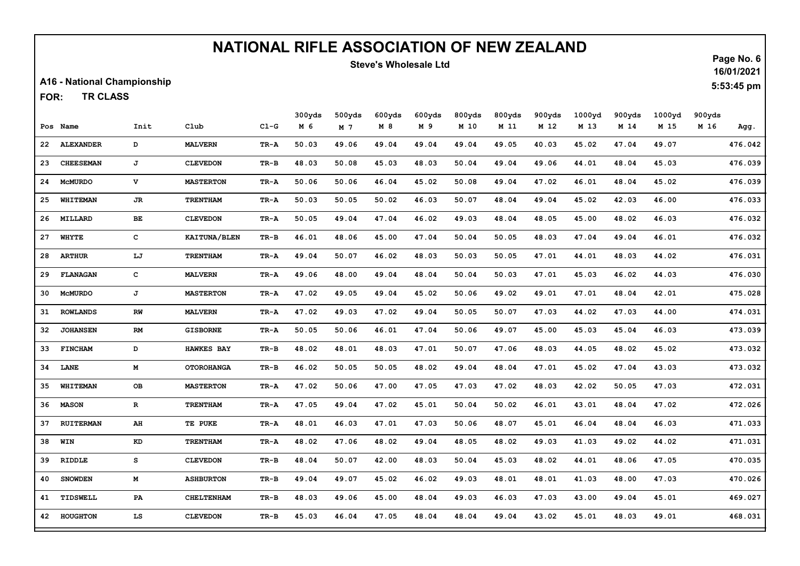### Steve's Wholesale Ltd

A16 - National Championship

TR CLASS FOR:

|    |                  |              |                     |        | 300yds | 500yds         | 600yds | 600yds | 800yds | 800yds | 900yds | 1000yd | 900yds | 1000yd | 900yds |         |
|----|------------------|--------------|---------------------|--------|--------|----------------|--------|--------|--------|--------|--------|--------|--------|--------|--------|---------|
|    | Pos Name         | Init         | Club                | $CL-G$ | M 6    | M <sub>7</sub> | M 8    | M 9    | M 10   | M 11   | M 12   | M 13   | M 14   | M 15   | M 16   | Agg.    |
| 22 | <b>ALEXANDER</b> | D            | <b>MALVERN</b>      | TR-A   | 50.03  | 49.06          | 49.04  | 49.04  | 49.04  | 49.05  | 40.03  | 45.02  | 47.04  | 49.07  |        | 476.042 |
| 23 | <b>CHEESEMAN</b> | J            | <b>CLEVEDON</b>     | TR-B   | 48.03  | 50.08          | 45.03  | 48.03  | 50.04  | 49.04  | 49.06  | 44.01  | 48.04  | 45.03  |        | 476.039 |
| 24 | <b>MCMURDO</b>   | v            | <b>MASTERTON</b>    | TR-A   | 50.06  | 50.06          | 46.04  | 45.02  | 50.08  | 49.04  | 47.02  | 46.01  | 48.04  | 45.02  |        | 476.039 |
| 25 | WHITEMAN         | JR.          | <b>TRENTHAM</b>     | TR-A   | 50.03  | 50.05          | 50.02  | 46.03  | 50.07  | 48.04  | 49.04  | 45.02  | 42.03  | 46.00  |        | 476.033 |
| 26 | MILLARD          | BE           | <b>CLEVEDON</b>     | TR-A   | 50.05  | 49.04          | 47.04  | 46.02  | 49.03  | 48.04  | 48.05  | 45.00  | 48.02  | 46.03  |        | 476.032 |
| 27 | <b>WHYTE</b>     | $\mathbf{C}$ | <b>KAITUNA/BLEN</b> | TR-B   | 46.01  | 48.06          | 45.00  | 47.04  | 50.04  | 50.05  | 48.03  | 47.04  | 49.04  | 46.01  |        | 476.032 |
| 28 | <b>ARTHUR</b>    | LJ           | <b>TRENTHAM</b>     | TR-A   | 49.04  | 50.07          | 46.02  | 48.03  | 50.03  | 50.05  | 47.01  | 44.01  | 48.03  | 44.02  |        | 476.031 |
| 29 | <b>FLANAGAN</b>  | $\mathbf{C}$ | <b>MALVERN</b>      | TR-A   | 49.06  | 48.00          | 49.04  | 48.04  | 50.04  | 50.03  | 47.01  | 45.03  | 46.02  | 44.03  |        | 476.030 |
| 30 | <b>MCMURDO</b>   | J            | <b>MASTERTON</b>    | TR-A   | 47.02  | 49.05          | 49.04  | 45.02  | 50.06  | 49.02  | 49.01  | 47.01  | 48.04  | 42.01  |        | 475.028 |
| 31 | <b>ROWLANDS</b>  | RW           | <b>MALVERN</b>      | TR-A   | 47.02  | 49.03          | 47.02  | 49.04  | 50.05  | 50.07  | 47.03  | 44.02  | 47.03  | 44.00  |        | 474.031 |
| 32 | <b>JOHANSEN</b>  | RM           | <b>GISBORNE</b>     | TR-A   | 50.05  | 50.06          | 46.01  | 47.04  | 50.06  | 49.07  | 45.00  | 45.03  | 45.04  | 46.03  |        | 473.039 |
| 33 | <b>FINCHAM</b>   | D            | <b>HAWKES BAY</b>   | TR-B   | 48.02  | 48.01          | 48.03  | 47.01  | 50.07  | 47.06  | 48.03  | 44.05  | 48.02  | 45.02  |        | 473.032 |
| 34 | LANE             | М            | <b>OTOROHANGA</b>   | TR-B   | 46.02  | 50.05          | 50.05  | 48.02  | 49.04  | 48.04  | 47.01  | 45.02  | 47.04  | 43.03  |        | 473.032 |
| 35 | <b>WHITEMAN</b>  | OВ           | <b>MASTERTON</b>    | TR-A   | 47.02  | 50.06          | 47.00  | 47.05  | 47.03  | 47.02  | 48.03  | 42.02  | 50.05  | 47.03  |        | 472.031 |
| 36 | <b>MASON</b>     | $\mathbf R$  | <b>TRENTHAM</b>     | TR-A   | 47.05  | 49.04          | 47.02  | 45.01  | 50.04  | 50.02  | 46.01  | 43.01  | 48.04  | 47.02  |        | 472.026 |
| 37 | <b>RUITERMAN</b> | AH           | TE PUKE             | TR-A   | 48.01  | 46.03          | 47.01  | 47.03  | 50.06  | 48.07  | 45.01  | 46.04  | 48.04  | 46.03  |        | 471.033 |
| 38 | WIN              | KD           | <b>TRENTHAM</b>     | TR-A   | 48.02  | 47.06          | 48.02  | 49.04  | 48.05  | 48.02  | 49.03  | 41.03  | 49.02  | 44.02  |        | 471.031 |
| 39 | RIDDLE           | s            | <b>CLEVEDON</b>     | TR-B   | 48.04  | 50.07          | 42.00  | 48.03  | 50.04  | 45.03  | 48.02  | 44.01  | 48.06  | 47.05  |        | 470.035 |
| 40 | <b>SNOWDEN</b>   | М            | <b>ASHBURTON</b>    | TR-B   | 49.04  | 49.07          | 45.02  | 46.02  | 49.03  | 48.01  | 48.01  | 41.03  | 48.00  | 47.03  |        | 470.026 |
| 41 | TIDSWELL         | PA           | <b>CHELTENHAM</b>   | TR-B   | 48.03  | 49.06          | 45.00  | 48.04  | 49.03  | 46.03  | 47.03  | 43.00  | 49.04  | 45.01  |        | 469.027 |
|    | 42 HOUGHTON      | LS           | <b>CLEVEDON</b>     | TR-B   | 45.03  | 46.04          | 47.05  | 48.04  | 48.04  | 49.04  | 43.02  | 45.01  | 48.03  | 49.01  |        | 468.031 |

Page No. 6 16/01/2021